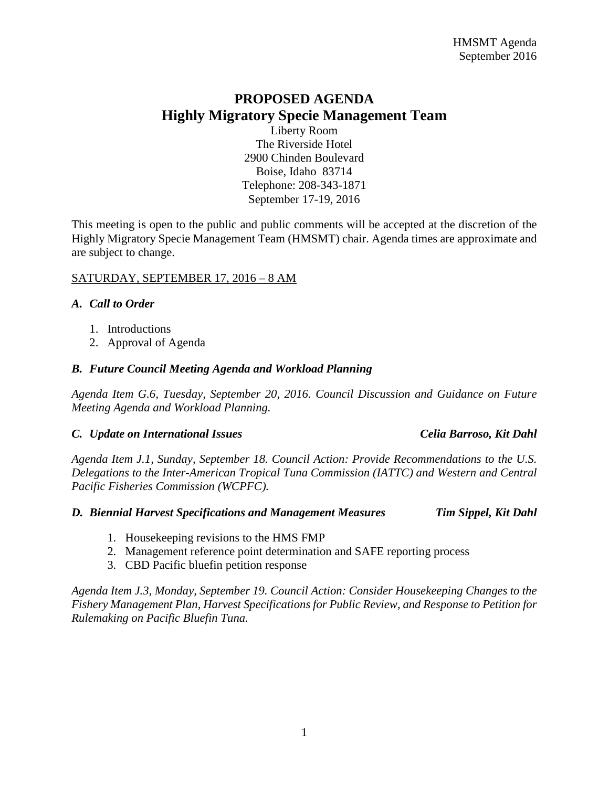# **PROPOSED AGENDA Highly Migratory Specie Management Team**

Liberty Room The Riverside Hotel 2900 Chinden Boulevard Boise, Idaho 83714 Telephone: 208-343-1871 September 17-19, 2016

This meeting is open to the public and public comments will be accepted at the discretion of the Highly Migratory Specie Management Team (HMSMT) chair. Agenda times are approximate and are subject to change.

### SATURDAY, SEPTEMBER 17, 2016 – 8 AM

#### *A. Call to Order*

- 1. Introductions
- 2. Approval of Agenda

# *B. Future Council Meeting Agenda and Workload Planning*

*Agenda Item G.6, Tuesday, September 20, 2016. Council Discussion and Guidance on Future Meeting Agenda and Workload Planning.*

#### *C. Update on International Issues Celia Barroso, Kit Dahl*

*Agenda Item J.1, Sunday, September 18. Council Action: Provide Recommendations to the U.S. Delegations to the Inter-American Tropical Tuna Commission (IATTC) and Western and Central Pacific Fisheries Commission (WCPFC).*

#### *D. Biennial Harvest Specifications and Management Measures Tim Sippel, Kit Dahl*

- 1. Housekeeping revisions to the HMS FMP
- 2. Management reference point determination and SAFE reporting process
- 3. CBD Pacific bluefin petition response

*Agenda Item J.3, Monday, September 19. Council Action: Consider Housekeeping Changes to the Fishery Management Plan, Harvest Specifications for Public Review, and Response to Petition for Rulemaking on Pacific Bluefin Tuna.*